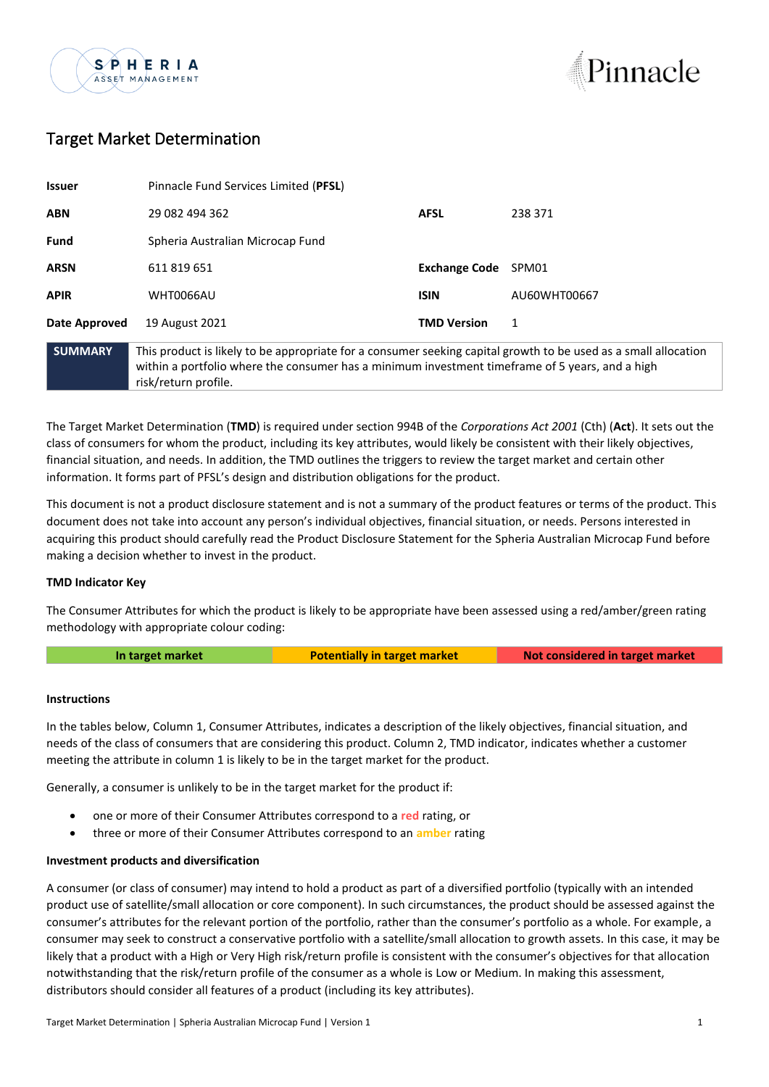



# Target Market Determination

| <b>Issuer</b>  | Pinnacle Fund Services Limited (PFSL) |                                                                                                                                                                                                                    |              |
|----------------|---------------------------------------|--------------------------------------------------------------------------------------------------------------------------------------------------------------------------------------------------------------------|--------------|
| <b>ABN</b>     | 29 082 494 362                        | <b>AFSL</b>                                                                                                                                                                                                        | 238 371      |
| <b>Fund</b>    | Spheria Australian Microcap Fund      |                                                                                                                                                                                                                    |              |
| <b>ARSN</b>    | 611 819 651                           | <b>Exchange Code</b>                                                                                                                                                                                               | SPM01        |
| <b>APIR</b>    | <b>WHT0066AU</b>                      | <b>ISIN</b>                                                                                                                                                                                                        | AU60WHT00667 |
| Date Approved  | 19 August 2021                        | <b>TMD Version</b>                                                                                                                                                                                                 | 1            |
| <b>SUMMARY</b> | risk/return profile.                  | This product is likely to be appropriate for a consumer seeking capital growth to be used as a small allocation<br>within a portfolio where the consumer has a minimum investment timeframe of 5 years, and a high |              |

The Target Market Determination (**TMD**) is required under section 994B of the *Corporations Act 2001* (Cth) (**Act**). It sets out the class of consumers for whom the product, including its key attributes, would likely be consistent with their likely objectives, financial situation, and needs. In addition, the TMD outlines the triggers to review the target market and certain other information. It forms part of PFSL's design and distribution obligations for the product.

This document is not a product disclosure statement and is not a summary of the product features or terms of the product. This document does not take into account any person's individual objectives, financial situation, or needs. Persons interested in acquiring this product should carefully read the Product Disclosure Statement for the Spheria Australian Microcap Fund before making a decision whether to invest in the product.

## **TMD Indicator Key**

The Consumer Attributes for which the product is likely to be appropriate have been assessed using a red/amber/green rating methodology with appropriate colour coding:

|  |  | In target market |
|--|--|------------------|
|  |  |                  |
|  |  |                  |

**Potentially in target market <b>Not** considered in target market

#### **Instructions**

In the tables below, Column 1, Consumer Attributes, indicates a description of the likely objectives, financial situation, and needs of the class of consumers that are considering this product. Column 2, TMD indicator, indicates whether a customer meeting the attribute in column 1 is likely to be in the target market for the product.

Generally, a consumer is unlikely to be in the target market for the product if:

- one or more of their Consumer Attributes correspond to a **red** rating, or
- three or more of their Consumer Attributes correspond to an **amber** rating

### **Investment products and diversification**

A consumer (or class of consumer) may intend to hold a product as part of a diversified portfolio (typically with an intended product use of satellite/small allocation or core component). In such circumstances, the product should be assessed against the consumer's attributes for the relevant portion of the portfolio, rather than the consumer's portfolio as a whole. For example, a consumer may seek to construct a conservative portfolio with a satellite/small allocation to growth assets. In this case, it may be likely that a product with a High or Very High risk/return profile is consistent with the consumer's objectives for that allocation notwithstanding that the risk/return profile of the consumer as a whole is Low or Medium. In making this assessment, distributors should consider all features of a product (including its key attributes).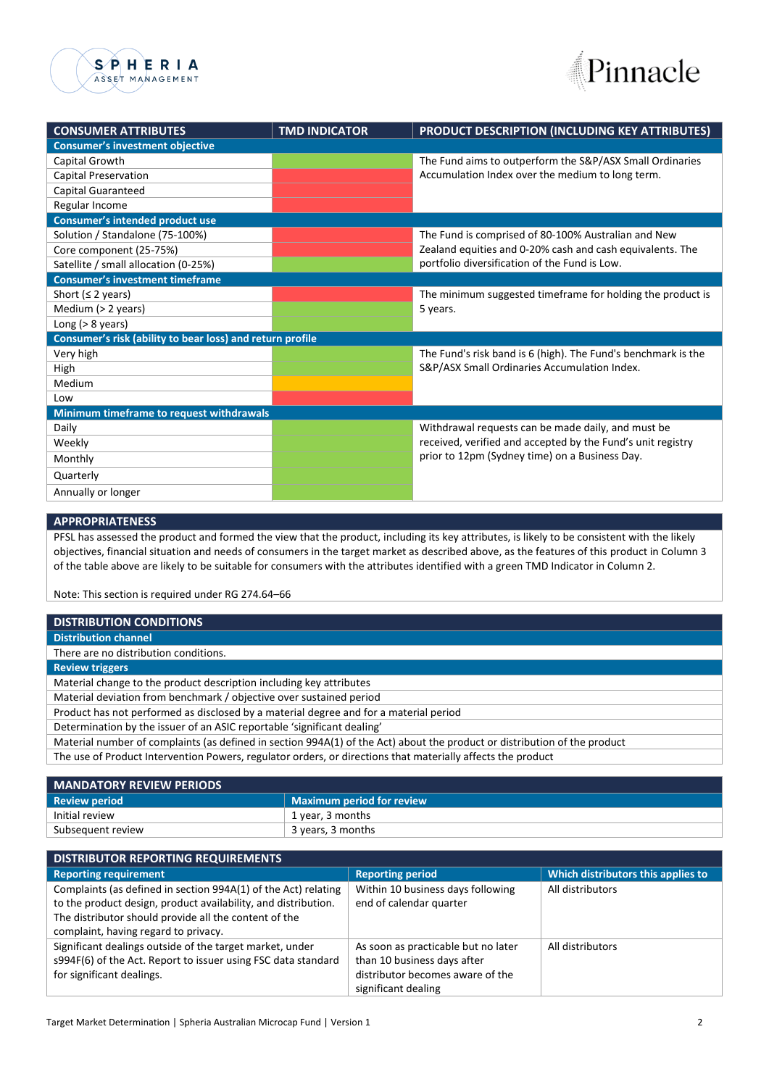



| <b>CONSUMER ATTRIBUTES</b>                                | <b>TMD INDICATOR</b>                                     | <b>PRODUCT DESCRIPTION (INCLUDING KEY ATTRIBUTES)</b>                                                         |  |
|-----------------------------------------------------------|----------------------------------------------------------|---------------------------------------------------------------------------------------------------------------|--|
| <b>Consumer's investment objective</b>                    |                                                          |                                                                                                               |  |
| Capital Growth                                            | The Fund aims to outperform the S&P/ASX Small Ordinaries |                                                                                                               |  |
| <b>Capital Preservation</b>                               |                                                          | Accumulation Index over the medium to long term.                                                              |  |
| <b>Capital Guaranteed</b>                                 |                                                          |                                                                                                               |  |
| Regular Income                                            |                                                          |                                                                                                               |  |
| <b>Consumer's intended product use</b>                    |                                                          |                                                                                                               |  |
| Solution / Standalone (75-100%)                           |                                                          | The Fund is comprised of 80-100% Australian and New                                                           |  |
| Core component (25-75%)                                   |                                                          | Zealand equities and 0-20% cash and cash equivalents. The                                                     |  |
| Satellite / small allocation (0-25%)                      |                                                          | portfolio diversification of the Fund is Low.                                                                 |  |
| <b>Consumer's investment timeframe</b>                    |                                                          |                                                                                                               |  |
| Short ( $\leq$ 2 years)                                   |                                                          | The minimum suggested timeframe for holding the product is                                                    |  |
| Medium $(> 2$ years)                                      |                                                          | 5 years.                                                                                                      |  |
| Long $(> 8$ years)                                        |                                                          |                                                                                                               |  |
| Consumer's risk (ability to bear loss) and return profile |                                                          |                                                                                                               |  |
| Very high                                                 |                                                          | The Fund's risk band is 6 (high). The Fund's benchmark is the                                                 |  |
| High                                                      |                                                          | S&P/ASX Small Ordinaries Accumulation Index.                                                                  |  |
| Medium                                                    |                                                          |                                                                                                               |  |
| Low                                                       |                                                          |                                                                                                               |  |
| Minimum timeframe to request withdrawals                  |                                                          |                                                                                                               |  |
| Daily                                                     |                                                          | Withdrawal requests can be made daily, and must be                                                            |  |
| Weekly                                                    |                                                          | received, verified and accepted by the Fund's unit registry<br>prior to 12pm (Sydney time) on a Business Day. |  |
| Monthly                                                   |                                                          |                                                                                                               |  |
| Quarterly                                                 |                                                          |                                                                                                               |  |
| Annually or longer                                        |                                                          |                                                                                                               |  |

#### **APPROPRIATENESS**

PFSL has assessed the product and formed the view that the product, including its key attributes, is likely to be consistent with the likely objectives, financial situation and needs of consumers in the target market as described above, as the features of this product in Column 3 of the table above are likely to be suitable for consumers with the attributes identified with a green TMD Indicator in Column 2.

Note: This section is required under RG 274.64–66

| <b>DISTRIBUTION CONDITIONS</b>                                                                                            |
|---------------------------------------------------------------------------------------------------------------------------|
| <b>Distribution channel</b>                                                                                               |
| There are no distribution conditions.                                                                                     |
| <b>Review triggers</b>                                                                                                    |
| Material change to the product description including key attributes                                                       |
| Material deviation from benchmark / objective over sustained period                                                       |
| Product has not performed as disclosed by a material degree and for a material period                                     |
| Determination by the issuer of an ASIC reportable 'significant dealing'                                                   |
| Material number of complaints (as defined in section 994A(1) of the Act) about the product or distribution of the product |
| The use of Product Intervention Powers, regulator orders, or directions that materially affects the product               |
|                                                                                                                           |

| <b>MANDATORY REVIEW PERIODS</b> |                           |  |
|---------------------------------|---------------------------|--|
| <b>Review period</b>            | Maximum period for review |  |
| Initial review                  | 1 year, 3 months          |  |
| Subsequent review               | 3 years, 3 months         |  |
|                                 |                           |  |

| <b>DISTRIBUTOR REPORTING REQUIREMENTS</b>                                                                                                                                                 |                                                              |                                    |
|-------------------------------------------------------------------------------------------------------------------------------------------------------------------------------------------|--------------------------------------------------------------|------------------------------------|
| <b>Reporting requirement</b>                                                                                                                                                              | <b>Reporting period</b>                                      | Which distributors this applies to |
| Complaints (as defined in section 994A(1) of the Act) relating<br>to the product design, product availability, and distribution.<br>The distributor should provide all the content of the | Within 10 business days following<br>end of calendar quarter | All distributors                   |
| complaint, having regard to privacy.                                                                                                                                                      |                                                              |                                    |
| Significant dealings outside of the target market, under                                                                                                                                  | As soon as practicable but no later                          | All distributors                   |
| s994F(6) of the Act. Report to issuer using FSC data standard                                                                                                                             | than 10 business days after                                  |                                    |
| for significant dealings.                                                                                                                                                                 | distributor becomes aware of the                             |                                    |
|                                                                                                                                                                                           | significant dealing                                          |                                    |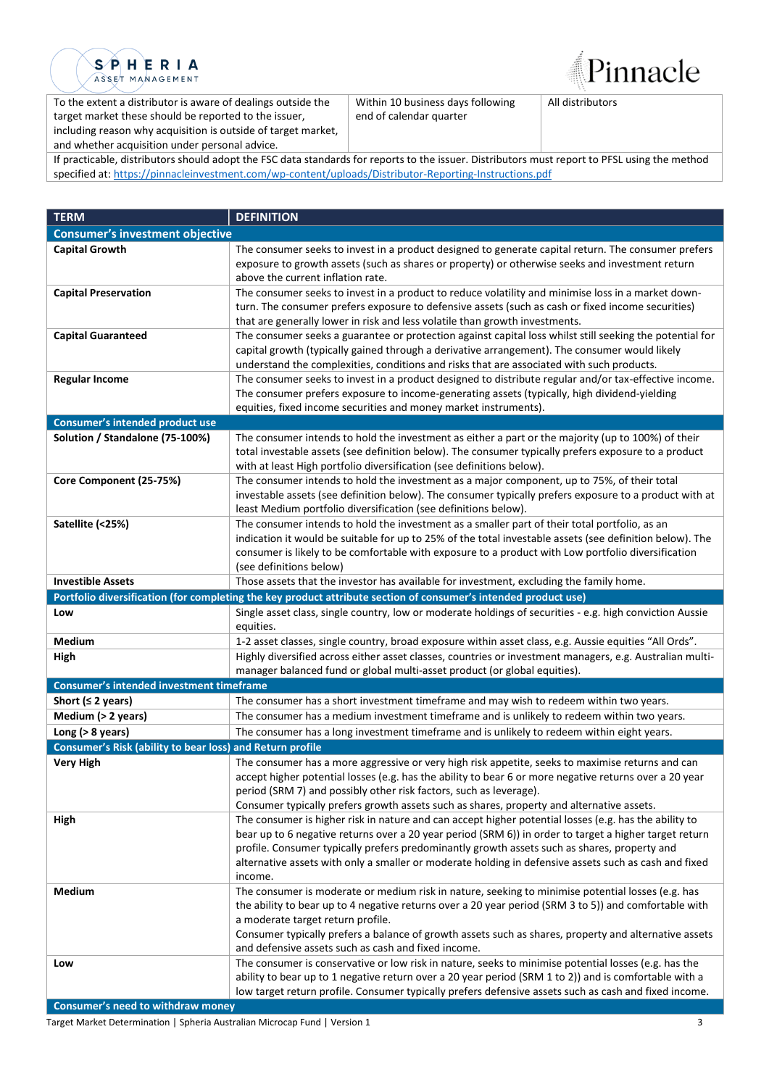

Pinnacle

To the extent a distributor is aware of dealings outside the target market these should be reported to the issuer, including reason why acquisition is outside of target market, and whether acquisition under personal advice.

Within 10 business days following end of calendar quarter

All distributors

If practicable, distributors should adopt the FSC data standards for reports to the issuer. Distributors must report to PFSL using the method specified at: [https://pinnacleinvestment.com/wp-content/uploads/Distributor-Reporting-Instructions.pdf](https://aus01.safelinks.protection.outlook.com/?url=https%3A%2F%2Fpinnacleinvestment.com%2Fwp-content%2Fuploads%2FDistributor-Reporting-Instructions.pdf&data=04%7C01%7CRobbie.Zhong%40pinnacleinvestment.com%7Cb4c1b788df954b03f26408d9675577fa%7C35cf8e31ecbc469399faa3d4d4dbd0de%7C0%7C0%7C637654439063852174%7CUnknown%7CTWFpbGZsb3d8eyJWIjoiMC4wLjAwMDAiLCJQIjoiV2luMzIiLCJBTiI6Ik1haWwiLCJXVCI6Mn0%3D%7C1000&sdata=z3%2BDpshdl6t4wDnSgUIdZS0YIuaCk9GXg1FCwIAbEV4%3D&reserved=0)

| <b>TERM</b>                                               | <b>DEFINITION</b>                                                                                                                                                                                             |
|-----------------------------------------------------------|---------------------------------------------------------------------------------------------------------------------------------------------------------------------------------------------------------------|
| <b>Consumer's investment objective</b>                    |                                                                                                                                                                                                               |
| <b>Capital Growth</b>                                     | The consumer seeks to invest in a product designed to generate capital return. The consumer prefers                                                                                                           |
|                                                           | exposure to growth assets (such as shares or property) or otherwise seeks and investment return                                                                                                               |
|                                                           | above the current inflation rate.                                                                                                                                                                             |
| <b>Capital Preservation</b>                               | The consumer seeks to invest in a product to reduce volatility and minimise loss in a market down-                                                                                                            |
|                                                           | turn. The consumer prefers exposure to defensive assets (such as cash or fixed income securities)                                                                                                             |
|                                                           | that are generally lower in risk and less volatile than growth investments.                                                                                                                                   |
| <b>Capital Guaranteed</b>                                 | The consumer seeks a guarantee or protection against capital loss whilst still seeking the potential for                                                                                                      |
|                                                           | capital growth (typically gained through a derivative arrangement). The consumer would likely                                                                                                                 |
|                                                           | understand the complexities, conditions and risks that are associated with such products.                                                                                                                     |
| <b>Regular Income</b>                                     | The consumer seeks to invest in a product designed to distribute regular and/or tax-effective income.                                                                                                         |
|                                                           | The consumer prefers exposure to income-generating assets (typically, high dividend-yielding                                                                                                                  |
| Consumer's intended product use                           | equities, fixed income securities and money market instruments).                                                                                                                                              |
| Solution / Standalone (75-100%)                           | The consumer intends to hold the investment as either a part or the majority (up to 100%) of their                                                                                                            |
|                                                           | total investable assets (see definition below). The consumer typically prefers exposure to a product                                                                                                          |
|                                                           | with at least High portfolio diversification (see definitions below).                                                                                                                                         |
| Core Component (25-75%)                                   | The consumer intends to hold the investment as a major component, up to 75%, of their total                                                                                                                   |
|                                                           | investable assets (see definition below). The consumer typically prefers exposure to a product with at                                                                                                        |
|                                                           | least Medium portfolio diversification (see definitions below).                                                                                                                                               |
| Satellite (<25%)                                          | The consumer intends to hold the investment as a smaller part of their total portfolio, as an                                                                                                                 |
|                                                           | indication it would be suitable for up to 25% of the total investable assets (see definition below). The                                                                                                      |
|                                                           | consumer is likely to be comfortable with exposure to a product with Low portfolio diversification                                                                                                            |
|                                                           | (see definitions below)                                                                                                                                                                                       |
| <b>Investible Assets</b>                                  | Those assets that the investor has available for investment, excluding the family home.                                                                                                                       |
|                                                           | Portfolio diversification (for completing the key product attribute section of consumer's intended product use)                                                                                               |
| Low                                                       | Single asset class, single country, low or moderate holdings of securities - e.g. high conviction Aussie                                                                                                      |
|                                                           | equities.                                                                                                                                                                                                     |
| Medium                                                    | 1-2 asset classes, single country, broad exposure within asset class, e.g. Aussie equities "All Ords".                                                                                                        |
| High                                                      | Highly diversified across either asset classes, countries or investment managers, e.g. Australian multi-                                                                                                      |
| Consumer's intended investment timeframe                  | manager balanced fund or global multi-asset product (or global equities).                                                                                                                                     |
| Short ( $\leq$ 2 years)                                   | The consumer has a short investment timeframe and may wish to redeem within two years.                                                                                                                        |
| Medium (> 2 years)                                        | The consumer has a medium investment timeframe and is unlikely to redeem within two years.                                                                                                                    |
| Long ( $>8$ years)                                        | The consumer has a long investment timeframe and is unlikely to redeem within eight years.                                                                                                                    |
| Consumer's Risk (ability to bear loss) and Return profile |                                                                                                                                                                                                               |
| <b>Very High</b>                                          | The consumer has a more aggressive or very high risk appetite, seeks to maximise returns and can                                                                                                              |
|                                                           | accept higher potential losses (e.g. has the ability to bear 6 or more negative returns over a 20 year                                                                                                        |
|                                                           | period (SRM 7) and possibly other risk factors, such as leverage).                                                                                                                                            |
|                                                           | Consumer typically prefers growth assets such as shares, property and alternative assets.                                                                                                                     |
| High                                                      | The consumer is higher risk in nature and can accept higher potential losses (e.g. has the ability to                                                                                                         |
|                                                           | bear up to 6 negative returns over a 20 year period (SRM 6)) in order to target a higher target return                                                                                                        |
|                                                           | profile. Consumer typically prefers predominantly growth assets such as shares, property and                                                                                                                  |
|                                                           | alternative assets with only a smaller or moderate holding in defensive assets such as cash and fixed                                                                                                         |
|                                                           | income.                                                                                                                                                                                                       |
| <b>Medium</b>                                             | The consumer is moderate or medium risk in nature, seeking to minimise potential losses (e.g. has                                                                                                             |
|                                                           | the ability to bear up to 4 negative returns over a 20 year period (SRM 3 to 5)) and comfortable with                                                                                                         |
|                                                           | a moderate target return profile.                                                                                                                                                                             |
|                                                           | Consumer typically prefers a balance of growth assets such as shares, property and alternative assets                                                                                                         |
|                                                           | and defensive assets such as cash and fixed income.                                                                                                                                                           |
| Low                                                       | The consumer is conservative or low risk in nature, seeks to minimise potential losses (e.g. has the<br>ability to bear up to 1 negative return over a 20 year period (SRM 1 to 2)) and is comfortable with a |
|                                                           | low target return profile. Consumer typically prefers defensive assets such as cash and fixed income.                                                                                                         |
|                                                           |                                                                                                                                                                                                               |

**Consumer's need to withdraw money**

Target Market Determination | Spheria Australian Microcap Fund | Version 1 3